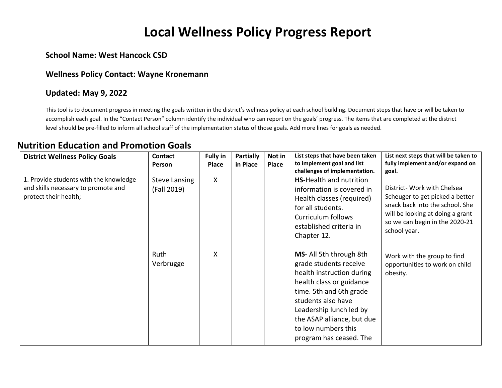# **Local Wellness Policy Progress Report**

### **School Name: West Hancock CSD**

#### **Wellness Policy Contact: Wayne Kronemann**

#### **Updated: May 9, 2022**

This tool is to document progress in meeting the goals written in the district's wellness policy at each school building. Document steps that have or will be taken to accomplish each goal. In the "Contact Person" column identify the individual who can report on the goals' progress. The items that are completed at the district level should be pre-filled to inform all school staff of the implementation status of those goals. Add more lines for goals as needed.

### **Nutrition Education and Promotion Goals**

| <b>District Wellness Policy Goals</b>                                                                  | <b>Contact</b><br><b>Person</b>     | <b>Fully in</b><br><b>Place</b> | <b>Partially</b><br>in Place | Not in<br>Place | List steps that have been taken<br>to implement goal and list<br>challenges of implementation.                                                                                                                                                                         | List next steps that will be taken to<br>fully implement and/or expand on<br>goal.                                                                                                      |
|--------------------------------------------------------------------------------------------------------|-------------------------------------|---------------------------------|------------------------------|-----------------|------------------------------------------------------------------------------------------------------------------------------------------------------------------------------------------------------------------------------------------------------------------------|-----------------------------------------------------------------------------------------------------------------------------------------------------------------------------------------|
| 1. Provide students with the knowledge<br>and skills necessary to promote and<br>protect their health; | <b>Steve Lansing</b><br>(Fall 2019) | $\mathsf{X}$                    |                              |                 | <b>HS-Health and nutrition</b><br>information is covered in<br>Health classes (required)<br>for all students.<br>Curriculum follows<br>established criteria in<br>Chapter 12.                                                                                          | District- Work with Chelsea<br>Scheuger to get picked a better<br>snack back into the school. She<br>will be looking at doing a grant<br>so we can begin in the 2020-21<br>school year. |
|                                                                                                        | Ruth<br>Verbrugge                   | X                               |                              |                 | MS- All 5th through 8th<br>grade students receive<br>health instruction during<br>health class or guidance<br>time. 5th and 6th grade<br>students also have<br>Leadership lunch led by<br>the ASAP alliance, but due<br>to low numbers this<br>program has ceased. The | Work with the group to find<br>opportunities to work on child<br>obesity.                                                                                                               |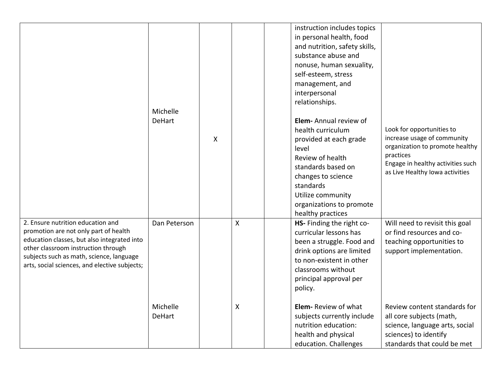|                                                                                                                                                                                                                                                               | Michelle<br><b>DeHart</b> | X |   | instruction includes topics<br>in personal health, food<br>and nutrition, safety skills,<br>substance abuse and<br>nonuse, human sexuality,<br>self-esteem, stress<br>management, and<br>interpersonal<br>relationships.<br>Elem-Annual review of<br>Look for opportunities to<br>health curriculum<br>increase usage of community<br>provided at each grade<br>organization to promote healthy<br>level<br>practices<br>Review of health<br>Engage in healthy activities such<br>standards based on<br>as Live Healthy Iowa activities<br>changes to science<br>standards<br>Utilize community<br>organizations to promote<br>healthy practices |
|---------------------------------------------------------------------------------------------------------------------------------------------------------------------------------------------------------------------------------------------------------------|---------------------------|---|---|--------------------------------------------------------------------------------------------------------------------------------------------------------------------------------------------------------------------------------------------------------------------------------------------------------------------------------------------------------------------------------------------------------------------------------------------------------------------------------------------------------------------------------------------------------------------------------------------------------------------------------------------------|
| 2. Ensure nutrition education and<br>promotion are not only part of health<br>education classes, but also integrated into<br>other classroom instruction through<br>subjects such as math, science, language<br>arts, social sciences, and elective subjects; | Dan Peterson              |   | Χ | HS- Finding the right co-<br>Will need to revisit this goal<br>curricular lessons has<br>or find resources and co-<br>been a struggle. Food and<br>teaching opportunities to<br>drink options are limited<br>support implementation.<br>to non-existent in other<br>classrooms without<br>principal approval per<br>policy.                                                                                                                                                                                                                                                                                                                      |
|                                                                                                                                                                                                                                                               | Michelle<br><b>DeHart</b> |   | X | Elem-Review of what<br>Review content standards for<br>subjects currently include<br>all core subjects (math,<br>nutrition education:<br>science, language arts, social<br>health and physical<br>sciences) to identify<br>standards that could be met<br>education. Challenges                                                                                                                                                                                                                                                                                                                                                                  |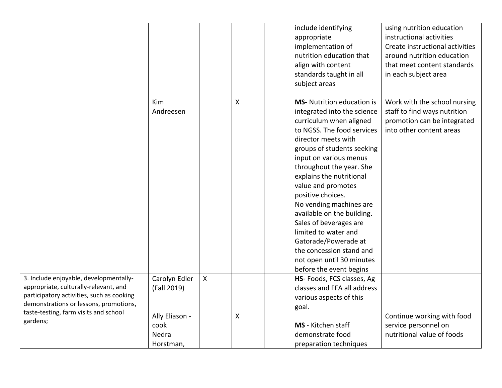|                                                                                                                              |                                              |              |   | include identifying<br>using nutrition education<br>instructional activities<br>appropriate<br>Create instructional activities<br>implementation of<br>nutrition education that<br>around nutrition education<br>align with content<br>that meet content standards<br>standards taught in all<br>in each subject area<br>subject areas                                                                                                                                                                                                                                                                                                                        |
|------------------------------------------------------------------------------------------------------------------------------|----------------------------------------------|--------------|---|---------------------------------------------------------------------------------------------------------------------------------------------------------------------------------------------------------------------------------------------------------------------------------------------------------------------------------------------------------------------------------------------------------------------------------------------------------------------------------------------------------------------------------------------------------------------------------------------------------------------------------------------------------------|
|                                                                                                                              | Kim<br>Andreesen                             |              | Χ | <b>MS-</b> Nutrition education is<br>Work with the school nursing<br>integrated into the science<br>staff to find ways nutrition<br>curriculum when aligned<br>promotion can be integrated<br>to NGSS. The food services<br>into other content areas<br>director meets with<br>groups of students seeking<br>input on various menus<br>throughout the year. She<br>explains the nutritional<br>value and promotes<br>positive choices.<br>No vending machines are<br>available on the building.<br>Sales of beverages are<br>limited to water and<br>Gatorade/Powerade at<br>the concession stand and<br>not open until 30 minutes<br>before the event begins |
| 3. Include enjoyable, developmentally-<br>appropriate, culturally-relevant, and<br>participatory activities, such as cooking | Carolyn Edler<br>(Fall 2019)                 | $\mathsf{X}$ |   | HS- Foods, FCS classes, Ag<br>classes and FFA all address<br>various aspects of this                                                                                                                                                                                                                                                                                                                                                                                                                                                                                                                                                                          |
| demonstrations or lessons, promotions,<br>taste-testing, farm visits and school<br>gardens;                                  | Ally Eliason -<br>cook<br>Nedra<br>Horstman, |              | Χ | goal.<br>Continue working with food<br>MS - Kitchen staff<br>service personnel on<br>demonstrate food<br>nutritional value of foods<br>preparation techniques                                                                                                                                                                                                                                                                                                                                                                                                                                                                                                 |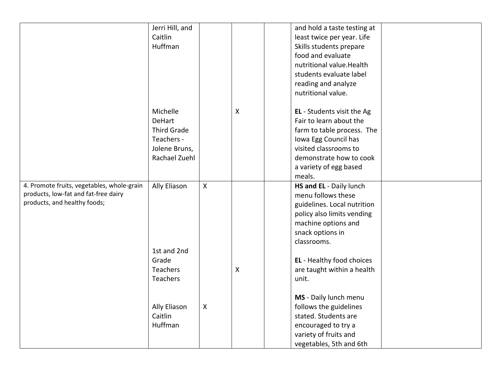|                                            | Jerri Hill, and    |                           |                | and hold a taste testing at |
|--------------------------------------------|--------------------|---------------------------|----------------|-----------------------------|
|                                            | Caitlin            |                           |                | least twice per year. Life  |
|                                            | Huffman            |                           |                | Skills students prepare     |
|                                            |                    |                           |                | food and evaluate           |
|                                            |                    |                           |                | nutritional value. Health   |
|                                            |                    |                           |                | students evaluate label     |
|                                            |                    |                           |                |                             |
|                                            |                    |                           |                | reading and analyze         |
|                                            |                    |                           |                | nutritional value.          |
|                                            | Michelle           |                           | $\mathsf{X}$   | EL - Students visit the Ag  |
|                                            | <b>DeHart</b>      |                           |                | Fair to learn about the     |
|                                            | <b>Third Grade</b> |                           |                | farm to table process. The  |
|                                            | Teachers -         |                           |                | Iowa Egg Council has        |
|                                            | Jolene Bruns,      |                           |                | visited classrooms to       |
|                                            | Rachael Zuehl      |                           |                | demonstrate how to cook     |
|                                            |                    |                           |                | a variety of egg based      |
|                                            |                    |                           |                | meals.                      |
| 4. Promote fruits, vegetables, whole-grain | Ally Eliason       | $\mathsf{X}$              |                | HS and EL - Daily lunch     |
| products, low-fat and fat-free dairy       |                    |                           |                | menu follows these          |
| products, and healthy foods;               |                    |                           |                | guidelines. Local nutrition |
|                                            |                    |                           |                | policy also limits vending  |
|                                            |                    |                           |                | machine options and         |
|                                            |                    |                           |                | snack options in            |
|                                            |                    |                           |                | classrooms.                 |
|                                            | 1st and 2nd        |                           |                |                             |
|                                            | Grade              |                           |                | EL - Healthy food choices   |
|                                            | <b>Teachers</b>    |                           | $\pmb{\times}$ | are taught within a health  |
|                                            | Teachers           |                           |                | unit.                       |
|                                            |                    |                           |                |                             |
|                                            |                    |                           |                | MS - Daily lunch menu       |
|                                            | Ally Eliason       | $\boldsymbol{\mathsf{X}}$ |                | follows the guidelines      |
|                                            | Caitlin            |                           |                | stated. Students are        |
|                                            | Huffman            |                           |                | encouraged to try a         |
|                                            |                    |                           |                | variety of fruits and       |
|                                            |                    |                           |                | vegetables, 5th and 6th     |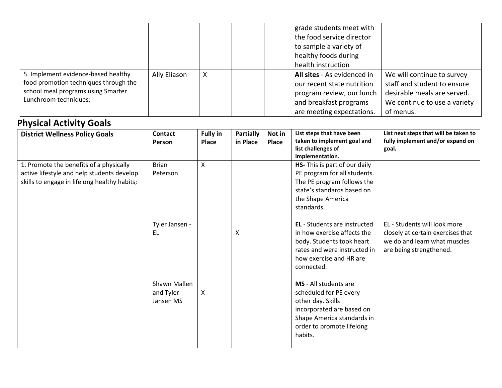|                                                                                                                                             |              |  | grade students meet with<br>the food service director<br>to sample a variety of<br>healthy foods during<br>health instruction                                                                                                                                                          |
|---------------------------------------------------------------------------------------------------------------------------------------------|--------------|--|----------------------------------------------------------------------------------------------------------------------------------------------------------------------------------------------------------------------------------------------------------------------------------------|
| 5. Implement evidence-based healthy<br>food promotion techniques through the<br>school meal programs using Smarter<br>Lunchroom techniques; | Ally Eliason |  | All sites - As evidenced in<br>We will continue to survey<br>staff and student to ensure<br>our recent state nutrition<br>desirable meals are served.<br>program review, our lunch<br>and breakfast programs<br>We continue to use a variety<br>are meeting expectations.<br>of menus. |

# **Physical Activity Goals**

| <b>District Wellness Policy Goals</b>                                                                                                 | <b>Contact</b><br>Person               | <b>Fully in</b><br>Place | <b>Partially</b><br>in Place | Not in<br>Place | List steps that have been<br>taken to implement goal and<br>list challenges of<br>implementation.                                                                        | List next steps that will be taken to<br>fully implement and/or expand on<br>goal.                                           |
|---------------------------------------------------------------------------------------------------------------------------------------|----------------------------------------|--------------------------|------------------------------|-----------------|--------------------------------------------------------------------------------------------------------------------------------------------------------------------------|------------------------------------------------------------------------------------------------------------------------------|
| 1. Promote the benefits of a physically<br>active lifestyle and help students develop<br>skills to engage in lifelong healthy habits; | <b>Brian</b><br>Peterson               | X                        |                              |                 | HS- This is part of our daily<br>PE program for all students.<br>The PE program follows the<br>state's standards based on<br>the Shape America<br>standards.             |                                                                                                                              |
|                                                                                                                                       | Tyler Jansen -<br>EL                   |                          | х                            |                 | <b>EL</b> - Students are instructed<br>in how exercise affects the<br>body. Students took heart<br>rates and were instructed in<br>how exercise and HR are<br>connected. | EL - Students will look more<br>closely at certain exercises that<br>we do and learn what muscles<br>are being strengthened. |
|                                                                                                                                       | Shawn Mallen<br>and Tyler<br>Jansen MS | X                        |                              |                 | MS - All students are<br>scheduled for PE every<br>other day. Skills<br>incorporated are based on<br>Shape America standards in<br>order to promote lifelong<br>habits.  |                                                                                                                              |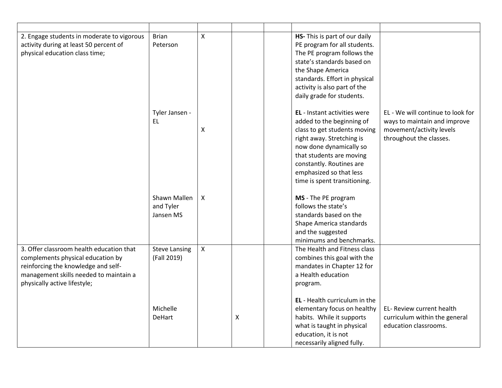| 2. Engage students in moderate to vigorous<br>activity during at least 50 percent of<br>physical education class time;                                                                         | <b>Brian</b><br>Peterson               | X            |                | HS- This is part of our daily<br>PE program for all students.<br>The PE program follows the<br>state's standards based on<br>the Shape America<br>standards. Effort in physical<br>activity is also part of the<br>daily grade for students.                                |                                                                                                                          |
|------------------------------------------------------------------------------------------------------------------------------------------------------------------------------------------------|----------------------------------------|--------------|----------------|-----------------------------------------------------------------------------------------------------------------------------------------------------------------------------------------------------------------------------------------------------------------------------|--------------------------------------------------------------------------------------------------------------------------|
|                                                                                                                                                                                                | Tyler Jansen -<br>EL.                  | X            |                | <b>EL</b> - Instant activities were<br>added to the beginning of<br>class to get students moving<br>right away. Stretching is<br>now done dynamically so<br>that students are moving<br>constantly. Routines are<br>emphasized so that less<br>time is spent transitioning. | EL - We will continue to look for<br>ways to maintain and improve<br>movement/activity levels<br>throughout the classes. |
|                                                                                                                                                                                                | Shawn Mallen<br>and Tyler<br>Jansen MS | X            |                | MS - The PE program<br>follows the state's<br>standards based on the<br>Shape America standards<br>and the suggested<br>minimums and benchmarks.                                                                                                                            |                                                                                                                          |
| 3. Offer classroom health education that<br>complements physical education by<br>reinforcing the knowledge and self-<br>management skills needed to maintain a<br>physically active lifestyle; | <b>Steve Lansing</b><br>(Fall 2019)    | $\mathsf{X}$ |                | The Health and Fitness class<br>combines this goal with the<br>mandates in Chapter 12 for<br>a Health education<br>program.                                                                                                                                                 |                                                                                                                          |
|                                                                                                                                                                                                | Michelle<br><b>DeHart</b>              |              | $\pmb{\times}$ | EL - Health curriculum in the<br>elementary focus on healthy<br>habits. While it supports<br>what is taught in physical<br>education, it is not<br>necessarily aligned fully.                                                                                               | EL- Review current health<br>curriculum within the general<br>education classrooms.                                      |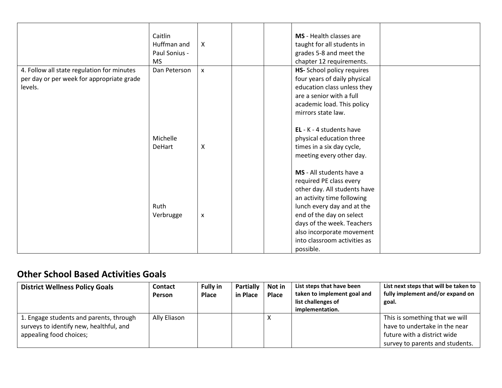|           |                                                                                                   |                                           | required PE class every      |                                                                                                                                                                                                                                                                                                                                                                                                                                                                                                                  |
|-----------|---------------------------------------------------------------------------------------------------|-------------------------------------------|------------------------------|------------------------------------------------------------------------------------------------------------------------------------------------------------------------------------------------------------------------------------------------------------------------------------------------------------------------------------------------------------------------------------------------------------------------------------------------------------------------------------------------------------------|
|           |                                                                                                   |                                           | other day. All students have |                                                                                                                                                                                                                                                                                                                                                                                                                                                                                                                  |
|           |                                                                                                   |                                           | an activity time following   |                                                                                                                                                                                                                                                                                                                                                                                                                                                                                                                  |
| Ruth      |                                                                                                   |                                           | lunch every day and at the   |                                                                                                                                                                                                                                                                                                                                                                                                                                                                                                                  |
| Verbrugge | X                                                                                                 |                                           | end of the day on select     |                                                                                                                                                                                                                                                                                                                                                                                                                                                                                                                  |
|           |                                                                                                   |                                           |                              |                                                                                                                                                                                                                                                                                                                                                                                                                                                                                                                  |
|           |                                                                                                   |                                           |                              |                                                                                                                                                                                                                                                                                                                                                                                                                                                                                                                  |
|           |                                                                                                   |                                           | into classroom activities as |                                                                                                                                                                                                                                                                                                                                                                                                                                                                                                                  |
|           |                                                                                                   |                                           |                              |                                                                                                                                                                                                                                                                                                                                                                                                                                                                                                                  |
|           | Caitlin<br>Huffman and<br>Paul Sonius -<br><b>MS</b><br>Dan Peterson<br>Michelle<br><b>DeHart</b> | X<br>$\pmb{\mathsf{X}}$<br>$\pmb{\times}$ |                              | MS - Health classes are<br>taught for all students in<br>grades 5-8 and meet the<br>chapter 12 requirements.<br>HS- School policy requires<br>four years of daily physical<br>education class unless they<br>are a senior with a full<br>academic load. This policy<br>mirrors state law.<br>EL - $K - 4$ students have<br>physical education three<br>times in a six day cycle,<br>meeting every other day.<br>MS - All students have a<br>days of the week. Teachers<br>also incorporate movement<br>possible. |

## **Other School Based Activities Goals**

| <b>District Wellness Policy Goals</b>                                                                         | Contact<br>Person | <b>Fully in</b><br>Place | Partially<br>in Place | Not in<br><b>Place</b> | List steps that have been<br>taken to implement goal and<br>list challenges of<br>implementation. | List next steps that will be taken to<br>fully implement and/or expand on<br>goal.                                                |
|---------------------------------------------------------------------------------------------------------------|-------------------|--------------------------|-----------------------|------------------------|---------------------------------------------------------------------------------------------------|-----------------------------------------------------------------------------------------------------------------------------------|
| 1. Engage students and parents, through<br>surveys to identify new, healthful, and<br>appealing food choices; | Ally Eliason      |                          |                       |                        |                                                                                                   | This is something that we will<br>have to undertake in the near<br>future with a district wide<br>survey to parents and students. |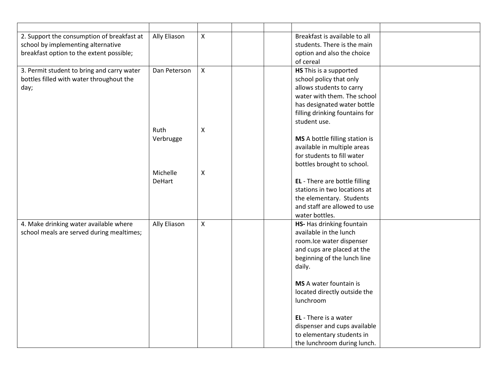| 2. Support the consumption of breakfast at | Ally Eliason  | $\pmb{\mathsf{X}}$ | Breakfast is available to all  |
|--------------------------------------------|---------------|--------------------|--------------------------------|
| school by implementing alternative         |               |                    | students. There is the main    |
| breakfast option to the extent possible;   |               |                    | option and also the choice     |
|                                            |               |                    | of cereal                      |
| 3. Permit student to bring and carry water | Dan Peterson  | $\mathsf{X}$       | HS This is a supported         |
| bottles filled with water throughout the   |               |                    | school policy that only        |
| day;                                       |               |                    | allows students to carry       |
|                                            |               |                    | water with them. The school    |
|                                            |               |                    | has designated water bottle    |
|                                            |               |                    | filling drinking fountains for |
|                                            |               |                    | student use.                   |
|                                            | Ruth          | $\pmb{\mathsf{X}}$ |                                |
|                                            | Verbrugge     |                    | MS A bottle filling station is |
|                                            |               |                    | available in multiple areas    |
|                                            |               |                    | for students to fill water     |
|                                            |               |                    | bottles brought to school.     |
|                                            | Michelle      | Χ                  |                                |
|                                            | <b>DeHart</b> |                    | EL - There are bottle filling  |
|                                            |               |                    | stations in two locations at   |
|                                            |               |                    | the elementary. Students       |
|                                            |               |                    | and staff are allowed to use   |
|                                            |               |                    | water bottles.                 |
| 4. Make drinking water available where     | Ally Eliason  | X                  | HS- Has drinking fountain      |
| school meals are served during mealtimes;  |               |                    | available in the lunch         |
|                                            |               |                    | room.lce water dispenser       |
|                                            |               |                    | and cups are placed at the     |
|                                            |               |                    | beginning of the lunch line    |
|                                            |               |                    | daily.                         |
|                                            |               |                    |                                |
|                                            |               |                    | MS A water fountain is         |
|                                            |               |                    | located directly outside the   |
|                                            |               |                    | lunchroom                      |
|                                            |               |                    | EL - There is a water          |
|                                            |               |                    | dispenser and cups available   |
|                                            |               |                    | to elementary students in      |
|                                            |               |                    | the lunchroom during lunch.    |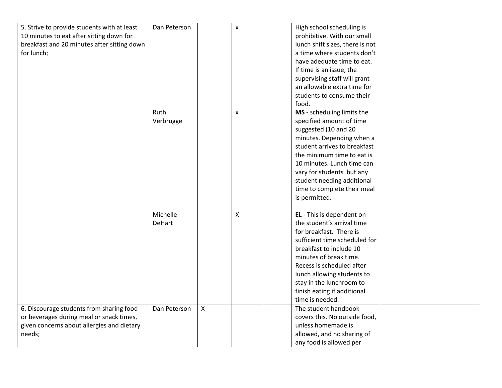| 5. Strive to provide students with at least | Dan Peterson  |   | $\pmb{\mathsf{X}}$ | High school scheduling is       |  |
|---------------------------------------------|---------------|---|--------------------|---------------------------------|--|
| 10 minutes to eat after sitting down for    |               |   |                    | prohibitive. With our small     |  |
| breakfast and 20 minutes after sitting down |               |   |                    | lunch shift sizes, there is not |  |
| for lunch;                                  |               |   |                    | a time where students don't     |  |
|                                             |               |   |                    | have adequate time to eat.      |  |
|                                             |               |   |                    | If time is an issue, the        |  |
|                                             |               |   |                    | supervising staff will grant    |  |
|                                             |               |   |                    | an allowable extra time for     |  |
|                                             |               |   |                    | students to consume their       |  |
|                                             |               |   |                    | food.                           |  |
|                                             | Ruth          |   | $\pmb{\mathsf{X}}$ | MS - scheduling limits the      |  |
|                                             | Verbrugge     |   |                    | specified amount of time        |  |
|                                             |               |   |                    | suggested (10 and 20            |  |
|                                             |               |   |                    | minutes. Depending when a       |  |
|                                             |               |   |                    | student arrives to breakfast    |  |
|                                             |               |   |                    | the minimum time to eat is      |  |
|                                             |               |   |                    | 10 minutes. Lunch time can      |  |
|                                             |               |   |                    | vary for students but any       |  |
|                                             |               |   |                    | student needing additional      |  |
|                                             |               |   |                    | time to complete their meal     |  |
|                                             |               |   |                    | is permitted.                   |  |
|                                             |               |   |                    |                                 |  |
|                                             | Michelle      |   | $\pmb{\mathsf{X}}$ | EL - This is dependent on       |  |
|                                             | <b>DeHart</b> |   |                    | the student's arrival time      |  |
|                                             |               |   |                    | for breakfast. There is         |  |
|                                             |               |   |                    | sufficient time scheduled for   |  |
|                                             |               |   |                    | breakfast to include 10         |  |
|                                             |               |   |                    | minutes of break time.          |  |
|                                             |               |   |                    | Recess is scheduled after       |  |
|                                             |               |   |                    | lunch allowing students to      |  |
|                                             |               |   |                    | stay in the lunchroom to        |  |
|                                             |               |   |                    | finish eating if additional     |  |
|                                             |               |   |                    | time is needed.                 |  |
| 6. Discourage students from sharing food    | Dan Peterson  | X |                    | The student handbook            |  |
| or beverages during meal or snack times,    |               |   |                    | covers this. No outside food,   |  |
| given concerns about allergies and dietary  |               |   |                    | unless homemade is              |  |
| needs;                                      |               |   |                    | allowed, and no sharing of      |  |
|                                             |               |   |                    | any food is allowed per         |  |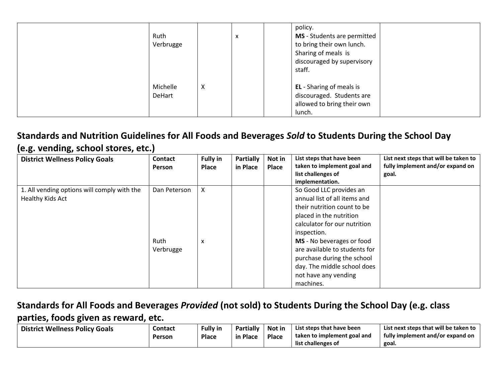| Ruth<br>Verbrugge  |   | х | policy.<br>MS - Students are permitted<br>to bring their own lunch.<br>Sharing of meals is<br>discouraged by supervisory<br>staff. |
|--------------------|---|---|------------------------------------------------------------------------------------------------------------------------------------|
| Michelle<br>DeHart | X |   | EL - Sharing of meals is<br>discouraged. Students are<br>allowed to bring their own<br>lunch.                                      |

### **Standards and Nutrition Guidelines for All Foods and Beverages** *Sold* **to Students During the School Day (e.g. vending, school stores, etc.)**

| <b>District Wellness Policy Goals</b>                           | <b>Contact</b><br><b>Person</b>          | <b>Fully in</b><br><b>Place</b> | <b>Partially</b><br>in Place | Not in<br>Place | List steps that have been<br>taken to implement goal and<br>list challenges of<br>implementation.                                                                                                                                                                                                                                | List next steps that will be taken to<br>fully implement and/or expand on<br>goal. |
|-----------------------------------------------------------------|------------------------------------------|---------------------------------|------------------------------|-----------------|----------------------------------------------------------------------------------------------------------------------------------------------------------------------------------------------------------------------------------------------------------------------------------------------------------------------------------|------------------------------------------------------------------------------------|
| 1. All vending options will comply with the<br>Healthy Kids Act | Dan Peterson<br><b>Ruth</b><br>Verbrugge | X<br>x                          |                              |                 | So Good LLC provides an<br>annual list of all items and<br>their nutrition count to be<br>placed in the nutrition<br>calculator for our nutrition<br>inspection.<br>MS - No beverages or food<br>are available to students for<br>purchase during the school<br>day. The middle school does<br>not have any vending<br>machines. |                                                                                    |

### **Standards for All Foods and Beverages** *Provided* **(not sold) to Students During the School Day (e.g. class parties, foods given as reward, etc.**

| <b>District Wellness Policy Goals</b> | <b>Contact</b> | <b>Fully in</b> | <b>Partially</b> | Not in       | List steps that have been   | List next steps that will be taken to |
|---------------------------------------|----------------|-----------------|------------------|--------------|-----------------------------|---------------------------------------|
|                                       | Person         | Place           | in Place         | <b>Place</b> | taken to implement goal and | fully implement and/or expand on      |
|                                       |                |                 |                  |              | list challenges of          | goal.                                 |